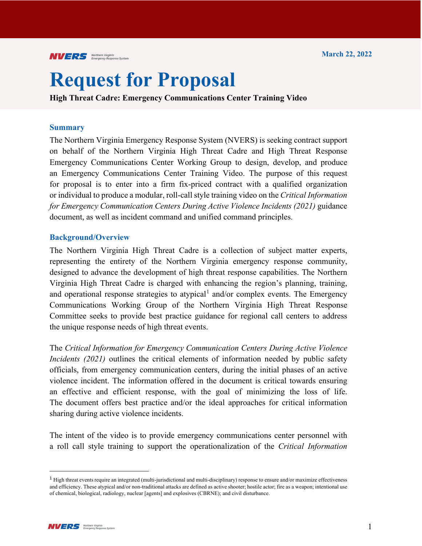# **Request for Proposal**

**High Threat Cadre: Emergency Communications Center Training Video**

#### **Summary**

The Northern Virginia Emergency Response System (NVERS) is seeking contract support on behalf of the Northern Virginia High Threat Cadre and High Threat Response Emergency Communications Center Working Group to design, develop, and produce an Emergency Communications Center Training Video. The purpose of this request for proposal is to enter into a firm fix-priced contract with a qualified organization or individual to produce a modular, roll-call style training video on the *Critical Information for Emergency Communication Centers During Active Violence Incidents (2021)* guidance document, as well as incident command and unified command principles.

#### **Background/Overview**

The Northern Virginia High Threat Cadre is a collection of subject matter experts, representing the entirety of the Northern Virginia emergency response community, designed to advance the development of high threat response capabilities. The Northern Virginia High Threat Cadre is charged with enhancing the region's planning, training, and operational response strategies to atypical<sup>[1](#page-0-0)</sup> and/or complex events. The Emergency Communications Working Group of the Northern Virginia High Threat Response Committee seeks to provide best practice guidance for regional call centers to address the unique response needs of high threat events.

The *Critical Information for Emergency Communication Centers During Active Violence Incidents (2021)* outlines the critical elements of information needed by public safety officials, from emergency communication centers, during the initial phases of an active violence incident. The information offered in the document is critical towards ensuring an effective and efficient response, with the goal of minimizing the loss of life. The document offers best practice and/or the ideal approaches for critical information sharing during active violence incidents.

The intent of the video is to provide emergency communications center personnel with a roll call style training to support the operationalization of the *Critical Information* 

<span id="page-0-0"></span><sup>&</sup>lt;sup>1</sup> High threat events require an integrated (multi-jurisdictional and multi-disciplinary) response to ensure and/or maximize effectiveness and efficiency. These atypical and/or non-traditional attacks are defined as active shooter; hostile actor; fire as a weapon; intentional use of chemical, biological, radiology, nuclear [agents] and explosives (CBRNE); and civil disturbance.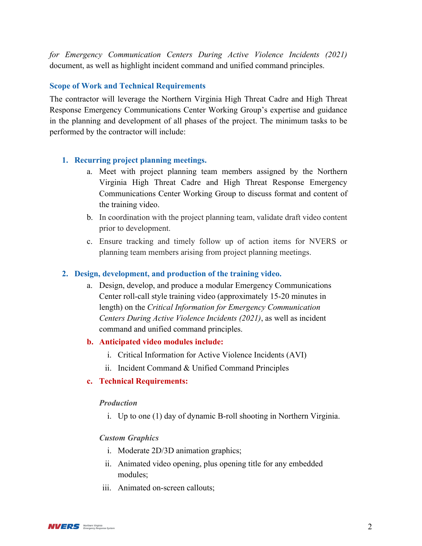*for Emergency Communication Centers During Active Violence Incidents (2021)* document, as well as highlight incident command and unified command principles.

# **Scope of Work and Technical Requirements**

The contractor will leverage the Northern Virginia High Threat Cadre and High Threat Response Emergency Communications Center Working Group's expertise and guidance in the planning and development of all phases of the project. The minimum tasks to be performed by the contractor will include:

## **1. Recurring project planning meetings.**

- a. Meet with project planning team members assigned by the Northern Virginia High Threat Cadre and High Threat Response Emergency Communications Center Working Group to discuss format and content of the training video.
- b. In coordination with the project planning team, validate draft video content prior to development.
- c. Ensure tracking and timely follow up of action items for NVERS or planning team members arising from project planning meetings.

## **2. Design, development, and production of the training video.**

a. Design, develop, and produce a modular Emergency Communications Center roll-call style training video (approximately 15-20 minutes in length) on the *Critical Information for Emergency Communication Centers During Active Violence Incidents (2021)*, as well as incident command and unified command principles.

## **b. Anticipated video modules include:**

- i. Critical Information for Active Violence Incidents (AVI)
- ii. Incident Command & Unified Command Principles

## **c. Technical Requirements:**

#### *Production*

i. Up to one (1) day of dynamic B-roll shooting in Northern Virginia.

#### *Custom Graphics*

- i. Moderate 2D/3D animation graphics;
- ii. Animated video opening, plus opening title for any embedded modules;
- iii. Animated on-screen callouts;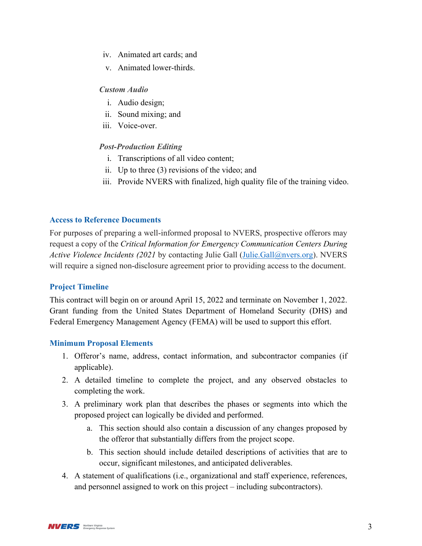- iv. Animated art cards; and
- v. Animated lower-thirds.

# *Custom Audio*

- i. Audio design;
- ii. Sound mixing; and
- iii. Voice-over.

# *Post-Production Editing*

- i. Transcriptions of all video content;
- ii. Up to three (3) revisions of the video; and
- iii. Provide NVERS with finalized, high quality file of the training video.

# **Access to Reference Documents**

For purposes of preparing a well-informed proposal to NVERS, prospective offerors may request a copy of the *Critical Information for Emergency Communication Centers During Active Violence Incidents (2021* by contacting Julie Gall [\(Julie.Gall@nvers.org\)](mailto:Julie.Gall@nvers.org). NVERS will require a signed non-disclosure agreement prior to providing access to the document.

# **Project Timeline**

This contract will begin on or around April 15, 2022 and terminate on November 1, 2022. Grant funding from the United States Department of Homeland Security (DHS) and Federal Emergency Management Agency (FEMA) will be used to support this effort.

# **Minimum Proposal Elements**

- 1. Offeror's name, address, contact information, and subcontractor companies (if applicable).
- 2. A detailed timeline to complete the project, and any observed obstacles to completing the work.
- 3. A preliminary work plan that describes the phases or segments into which the proposed project can logically be divided and performed.
	- a. This section should also contain a discussion of any changes proposed by the offeror that substantially differs from the project scope.
	- b. This section should include detailed descriptions of activities that are to occur, significant milestones, and anticipated deliverables.
- 4. A statement of qualifications (i.e., organizational and staff experience, references, and personnel assigned to work on this project – including subcontractors).